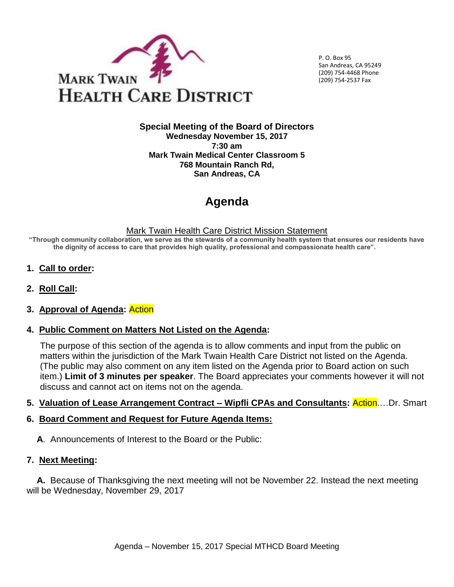

 P. O. Box 95 San Andreas, CA 95249 (209) 754-4468 Phone (209) 754-2537 Fax

#### **Special Meeting of the Board of Directors Wednesday November 15, 2017 7:30 am Mark Twain Medical Center Classroom 5 768 Mountain Ranch Rd, San Andreas, CA**

# **Agenda**

#### Mark Twain Health Care District Mission Statement

**"Through community collaboration, we serve as the stewards of a community health system that ensures our residents have the dignity of access to care that provides high quality, professional and compassionate health care".** 

- **1. Call to order:**
- **2. Roll Call:**

### **3. Approval of Agenda:** Action

### **4. Public Comment on Matters Not Listed on the Agenda:**

The purpose of this section of the agenda is to allow comments and input from the public on matters within the jurisdiction of the Mark Twain Health Care District not listed on the Agenda. (The public may also comment on any item listed on the Agenda prior to Board action on such item.) **Limit of 3 minutes per speaker**. The Board appreciates your comments however it will not discuss and cannot act on items not on the agenda.

### **5. Valuation of Lease Arrangement Contract – Wipfli CPAs and Consultants:** Action.…Dr. Smart

### **6. Board Comment and Request for Future Agenda Items:**

**A**. Announcements of Interest to the Board or the Public:

### **7. Next Meeting:**

 **A.** Because of Thanksgiving the next meeting will not be November 22. Instead the next meeting will be Wednesday, November 29, 2017